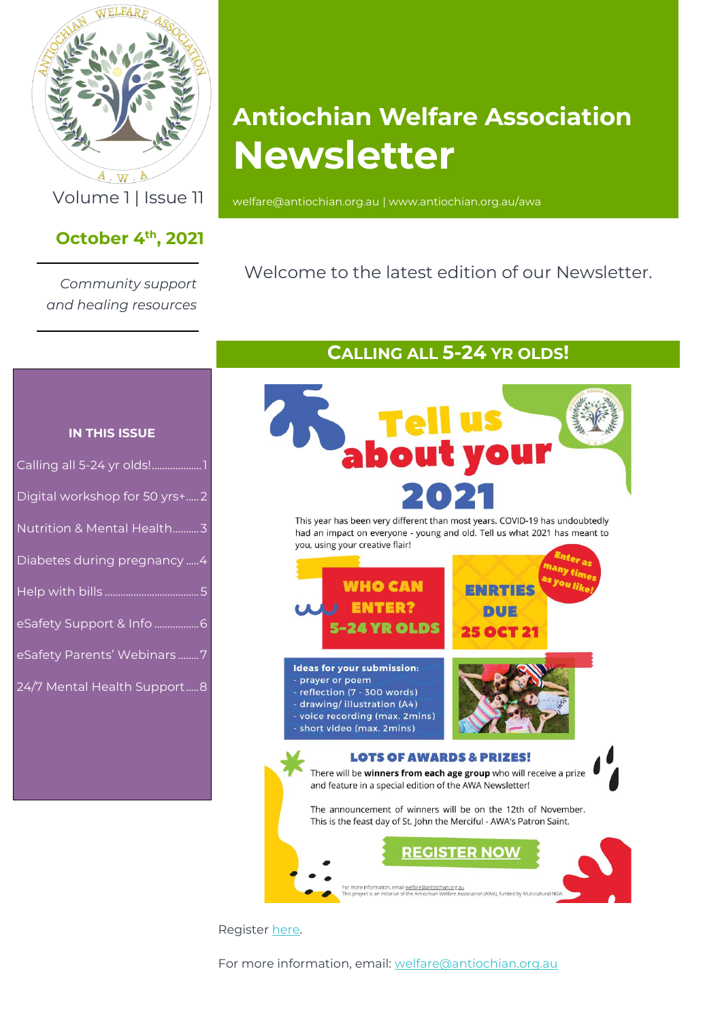

 $A \cdot W \cdot A$ 

## **October 4 th , 2021**

*Community support and healing resources*

# **Antiochian Welfare Association Newsletter**

Volume 1 | Issue 11 [welfare@antiochian.org.au](mailto:welfare@antiochian.org.au) [| www.antiochian.org.au/awa](http://www.antiochian.org.au/awa)

## Welcome to the latest edition of our Newsletter.

### **IN THIS ISSUE**

| Digital workshop for 50 yrs+2 |  |
|-------------------------------|--|
| Nutrition & Mental Health3    |  |
| Diabetes during pregnancy  4  |  |
|                               |  |
|                               |  |
| eSafety Support & Info 6      |  |
| eSafety Parents' Webinars7    |  |

## **CALLING ALL 5-24 YR OLDS!**

<span id="page-0-0"></span>

This year has been very different than most years. COVID-19 has undoubtedly had an impact on everyone - young and old. Tell us what 2021 has meant to you, using your creative flair!



Register [here.](https://docs.google.com/forms/d/e/1FAIpQLSdg5aCgu_Lvjz9aeXTciQdt9cRlP6ZKzfUO9L0aA-iZdRScaw/viewform)

For more information, email: [welfare@antiochian.org.au](mailto:welfare@antiochian.org.au)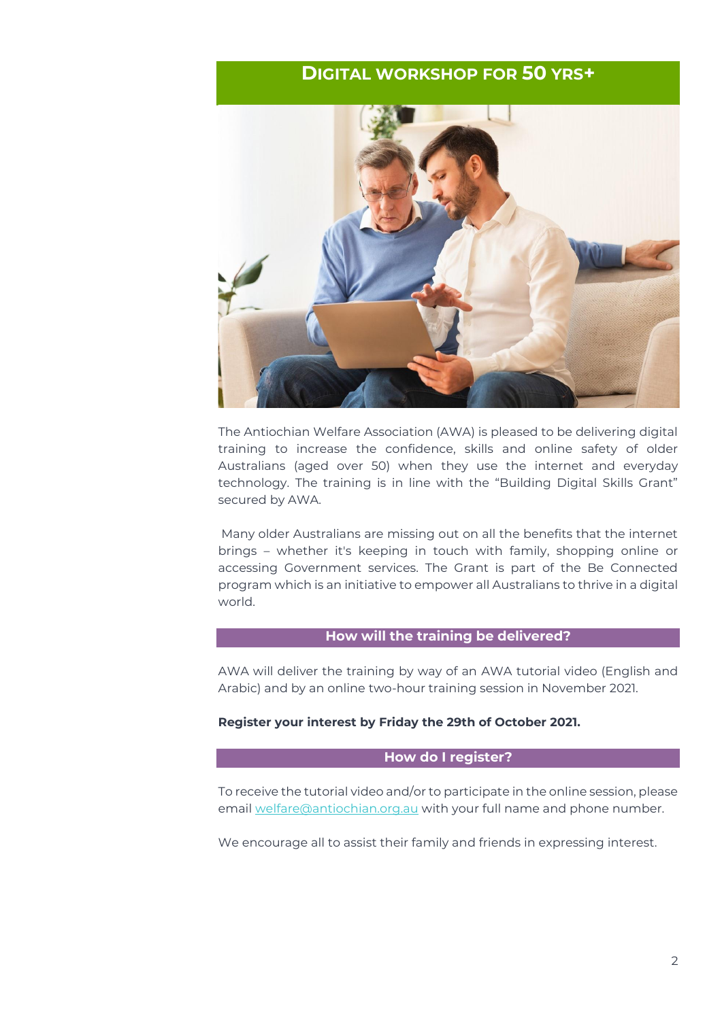## **DIGITAL WORKSHOP FOR 50 YRS+**

<span id="page-1-0"></span>

The Antiochian Welfare Association (AWA) is pleased to be delivering digital training to increase the confidence, skills and online safety of older Australians (aged over 50) when they use the internet and everyday technology. The training is in line with the "Building Digital Skills Grant" secured by AWA.

Many older Australians are missing out on all the benefits that the internet brings – whether it's keeping in touch with family, shopping online or accessing Government services. The Grant is part of the Be Connected program which is an initiative to empower all Australians to thrive in a digital world.

#### **How will the training be delivered?**

AWA will deliver the training by way of an AWA tutorial video (English and Arabic) and by an online two-hour training session in November 2021.

#### **Register your interest by Friday the 29th of October 2021.**

#### **How do I register?**

To receive the tutorial video and/or to participate in the online session, please email [welfare@antiochian.org.au](mailto:welfare@antiochian.org.au) with your full name and phone number.

We encourage all to assist their family and friends in expressing interest.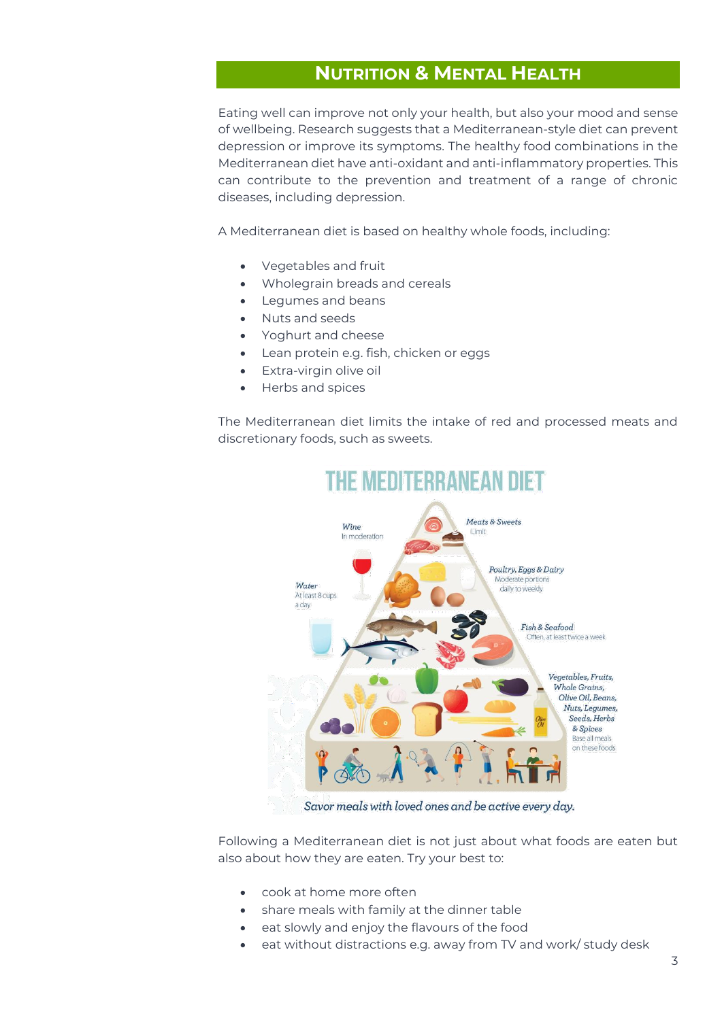## **NUTRITION & MENTAL HEALTH**

<span id="page-2-0"></span>Eating well can improve not only your health, but also your mood and sense of wellbeing. Research suggests that a Mediterranean-style diet can prevent depression or improve its symptoms. The healthy food combinations in the Mediterranean diet have anti-oxidant and anti-inflammatory properties. This can contribute to the prevention and treatment of a range of chronic diseases, including depression.

A Mediterranean diet is based on healthy whole foods, including:

- Vegetables and fruit
- Wholegrain breads and cereals
- Legumes and beans
- Nuts and seeds
- Yoghurt and cheese
- Lean protein e.g. fish, chicken or eggs
- Extra-virgin olive oil
- Herbs and spices

The Mediterranean diet limits the intake of red and processed meats and discretionary foods, such as sweets.



## **THE MEDITERRANEAN DIET**

Savor meals with loved ones and be active every day.

Following a Mediterranean diet is not just about what foods are eaten but also about how they are eaten. Try your best to:

- cook at home more often
- share meals with family at the dinner table
- eat slowly and enjoy the flavours of the food
- eat without distractions e.g. away from TV and work/ study desk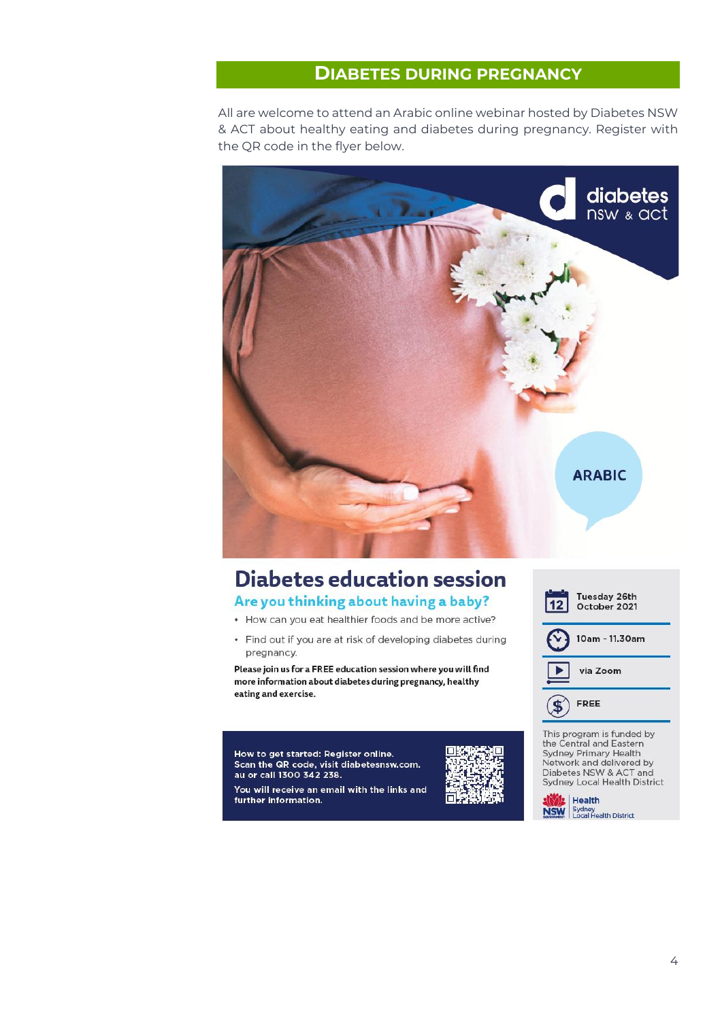## **DIABETES DURING PREGNANCY**

<span id="page-3-0"></span>All are welcome to attend an Arabic online webinar hosted by Diabetes NSW & ACT about healthy eating and diabetes during pregnancy. Register with the QR code in the flyer below.



## **Diabetes education session**

### Are you thinking about having a baby?

- How can you eat healthier foods and be more active?
- Find out if you are at risk of developing diabetes during pregnancy.

Please join us for a FREE education session where you will find more information about diabetes during pregnancy, healthy eating and exercise.

How to get started: Register online. Scan the QR code, visit diabetesnsw.com. au or call 1300 342 238. You will receive an email with the links and further information.





This program is funded by the Central and Eastern Sydney Primary Health<br>Network and delivered by Diabetes NSW & ACT and Sydney Local Health District

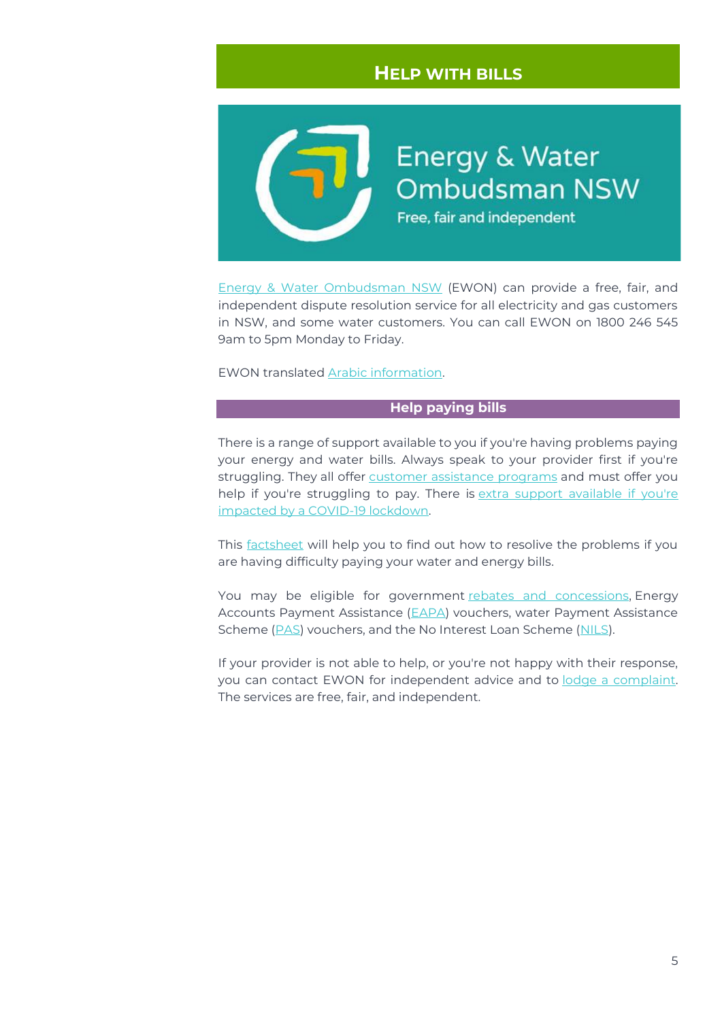## **HELP WITH BILLS**

<span id="page-4-0"></span>**Energy & Water Ombudsman NSW** Free, fair and independent

[Energy & Water Ombudsman NSW](https://www.ewon.com.au/) (EWON) can provide a free, fair, and independent dispute resolution service for all electricity and gas customers in NSW, and some water customers. You can call EWON on 1800 246 545 9am to 5pm Monday to Friday.

EWON translated [Arabic information.](https://www.ewon.com.au/content/Document/Translated%20factsheets/EWON_translated%20factsheet_Arabic.pdf)

#### **Help paying bills**

There is a range of support available to you if you're having problems paying your energy and water bills. Always speak to your provider first if you're struggling. They all offer [customer assistance programs](https://www.ewon.com.au/page/complaint-issues/help-paying-bills/customer-assistance-programs) and must offer you help if you're struggling to pay. There is [extra support available if](https://www.ewon.com.au/page/media-center/news/finance/statement-of-expectation-extended-for-greater-sydney) you're [impacted by a COVID-19 lockdown.](https://www.ewon.com.au/page/media-center/news/finance/statement-of-expectation-extended-for-greater-sydney)

This [factsheet](https://www.ewon.com.au/content/Document/Resources%20for%20customers/EWON-Factsheet-difficulty-paying-bills.pdf) will help you to find out how to resolive the problems if you are having difficulty paying your water and energy bills.

You may be eligible for government [rebates and concessions,](https://www.ewon.com.au/page/complaint-issues/help-paying-bills/rebates) Energy Accounts Payment Assistance [\(EAPA\)](https://www.ewon.com.au/page/complaint-issues/help-paying-bills/eapa-vouchers/) vouchers, water Payment Assistance Scheme [\(PAS\)](https://www.ewon.com.au/page/complaint-issues/help-paying-bills/pas-credits) vouchers, and the No Interest Loan Scheme [\(NILS\)](https://www.ewon.com.au/page/complaint-issues/help-paying-bills/nils-assistance/).

If your provider is not able to help, or you're not happy with their response, you can contact EWON for independent advice and to [lodge a complaint.](https://www.ewon.com.au/page/making-a-complaint) The services are free, fair, and independent.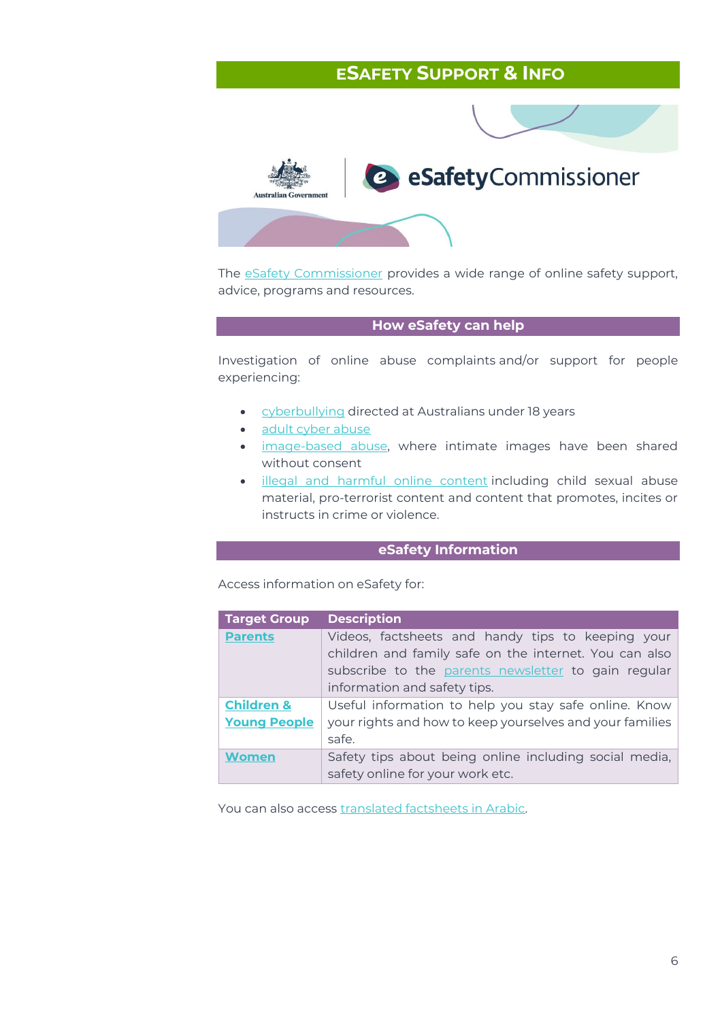## <span id="page-5-0"></span>**ESAFETY SUPPORT & INFO**



The **eSafety Commissioner** provides a wide range of online safety support, advice, programs and resources.

#### **How eSafety can help**

Investigation of online abuse complaints and/or support for people experiencing:

- [cyberbullying](https://www.esafety.gov.au/report/cyberbullying/collecting-evidence) directed at Australians under 18 years
- [adult cyber abuse](https://www.esafety.gov.au/key-issues/adult-cyber-abuse)
- [image-based abuse,](https://www.esafety.gov.au/report/image-based-abuse) where intimate images have been shared without consent
- [illegal and harmful online content](https://www.esafety.gov.au/report/illegal-harmful-content) including child sexual abuse material, pro-terrorist content and content that promotes, incites or instructs in crime or violence.

### **eSafety Information**

Access information on eSafety for:

| <b>Target Group</b>   | <b>Description</b>                                       |  |  |  |
|-----------------------|----------------------------------------------------------|--|--|--|
| <b>Parents</b>        | Videos, factsheets and handy tips to keeping your        |  |  |  |
|                       | children and family safe on the internet. You can also   |  |  |  |
|                       | subscribe to the parents newsletter to gain regular      |  |  |  |
|                       | information and safety tips.                             |  |  |  |
| <b>Children &amp;</b> | Useful information to help you stay safe online. Know    |  |  |  |
| <b>Young People</b>   | your rights and how to keep yourselves and your families |  |  |  |
|                       | safe.                                                    |  |  |  |
| <b>Women</b>          | Safety tips about being online including social media,   |  |  |  |
|                       | safety online for your work etc.                         |  |  |  |

You can also access [translated factsheets in Arabic.](https://www.esafety.gov.au/diverse-groups/cultural-linguistic/translations/arabic)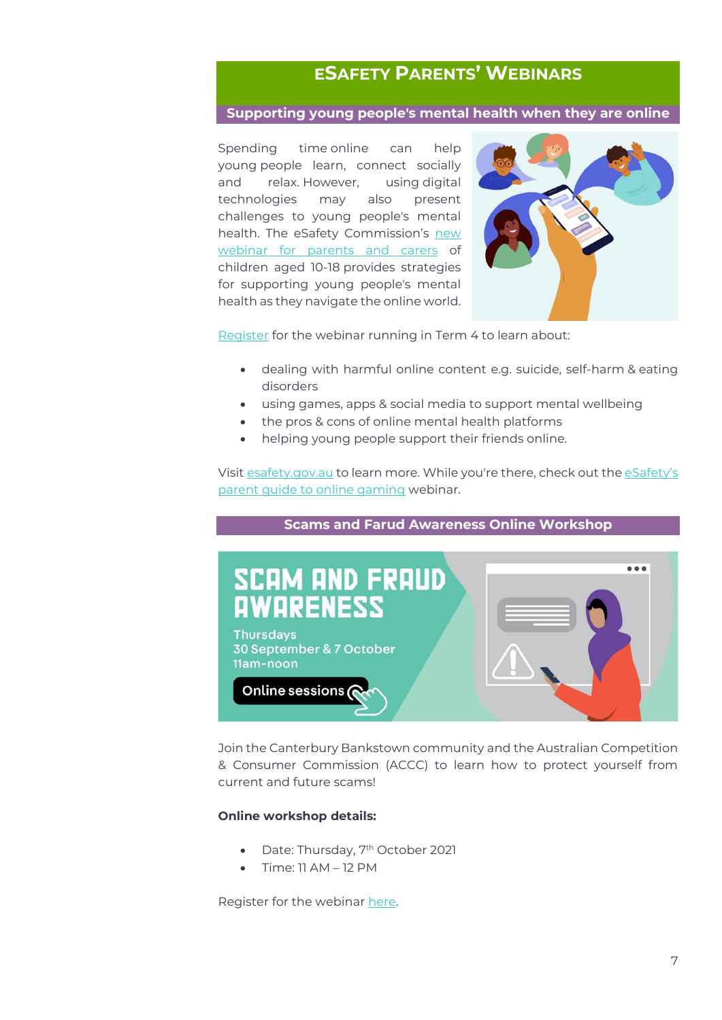## **ESAFETY PARENTS' WEBINARS**

### <span id="page-6-0"></span>**Supporting young people's mental health when they are online**

Spending time online can help young people learn, connect socially and relax. However, using digital technologies may also present challenges to young people's mental health. The eSafety Commission's new [webinar for parents](https://www.esafety.gov.au/parents/webinars) and carers of children aged 10-18 provides strategies for supporting young people's mental health as they navigate the online world.



[Register](https://register.gotowebinar.com/rt/8245460212320493072) for the webinar running in Term 4 to learn about:

- dealing with harmful online content e.g. suicide, self-harm & eating disorders
- using games, apps & social media to support mental wellbeing
- the pros & cons of online mental health platforms
- helping young people support their friends online.

Visit [esafety.gov.au](https://aus01.safelinks.protection.outlook.com/?url=https%3A%2F%2Furldefense.com%2Fv3%2F__https%3A%2Fesafety.cmail20.com%2Ft%2Fi-l-cyhitjy-jukhiujkti-t%2F__%3B!!MuTgN5zQqgRwsA!QMAyt0J6sqDEcFrZsZDA6oaKowlRzFGXMmlonEyNIBRxas9NUlOIjWmev8IvQO2xtRWjQO8%24&data=04%7C01%7Cmyriam.bahari4%40tafensw.edu.au%7C22f22cf68453493e842608d977f6eb5c%7C1953722255d7458184fbc2da6e835c74%7C0%7C0%7C637672724800494453%7CUnknown%7CTWFpbGZsb3d8eyJWIjoiMC4wLjAwMDAiLCJQIjoiV2luMzIiLCJBTiI6Ik1haWwiLCJXVCI6Mn0%3D%7C1000&sdata=EtMmY2rNf4hHRFipF9EmssswEfdBHqVksdI%2BLoVf3Js%3D&reserved=0) to learn more. While you're there, check out the [eSafety's](https://aus01.safelinks.protection.outlook.com/?url=https%3A%2F%2Furldefense.com%2Fv3%2F__https%3A%2Fesafety.cmail20.com%2Ft%2Fi-l-cyhitjy-jukhiujkti-i%2F__%3B!!MuTgN5zQqgRwsA!QMAyt0J6sqDEcFrZsZDA6oaKowlRzFGXMmlonEyNIBRxas9NUlOIjWmev8IvQO2x3KF2YCA%24&data=04%7C01%7Cmyriam.bahari4%40tafensw.edu.au%7C22f22cf68453493e842608d977f6eb5c%7C1953722255d7458184fbc2da6e835c74%7C0%7C0%7C637672724800494453%7CUnknown%7CTWFpbGZsb3d8eyJWIjoiMC4wLjAwMDAiLCJQIjoiV2luMzIiLCJBTiI6Ik1haWwiLCJXVCI6Mn0%3D%7C1000&sdata=O6KflQcgg6kKG9STsCtGVU1zv0X27%2FCmTK8gnZgm6is%3D&reserved=0)  [parent guide to online gaming](https://aus01.safelinks.protection.outlook.com/?url=https%3A%2F%2Furldefense.com%2Fv3%2F__https%3A%2Fesafety.cmail20.com%2Ft%2Fi-l-cyhitjy-jukhiujkti-i%2F__%3B!!MuTgN5zQqgRwsA!QMAyt0J6sqDEcFrZsZDA6oaKowlRzFGXMmlonEyNIBRxas9NUlOIjWmev8IvQO2x3KF2YCA%24&data=04%7C01%7Cmyriam.bahari4%40tafensw.edu.au%7C22f22cf68453493e842608d977f6eb5c%7C1953722255d7458184fbc2da6e835c74%7C0%7C0%7C637672724800494453%7CUnknown%7CTWFpbGZsb3d8eyJWIjoiMC4wLjAwMDAiLCJQIjoiV2luMzIiLCJBTiI6Ik1haWwiLCJXVCI6Mn0%3D%7C1000&sdata=O6KflQcgg6kKG9STsCtGVU1zv0X27%2FCmTK8gnZgm6is%3D&reserved=0) webinar.

### **Scams and Farud Awareness Online Workshop**



Join the Canterbury Bankstown community and the Australian Competition & Consumer Commission (ACCC) to learn how to protect yourself from current and future scams!

#### **Online workshop details:**

- Date: Thursday, 7<sup>th</sup> October 2021
- Time: 11 AM 12 PM

Register for the webinar [here.](https://www.eventbrite.com.au/e/scam-fraud-awareness-workshop-tickets-169798025465)